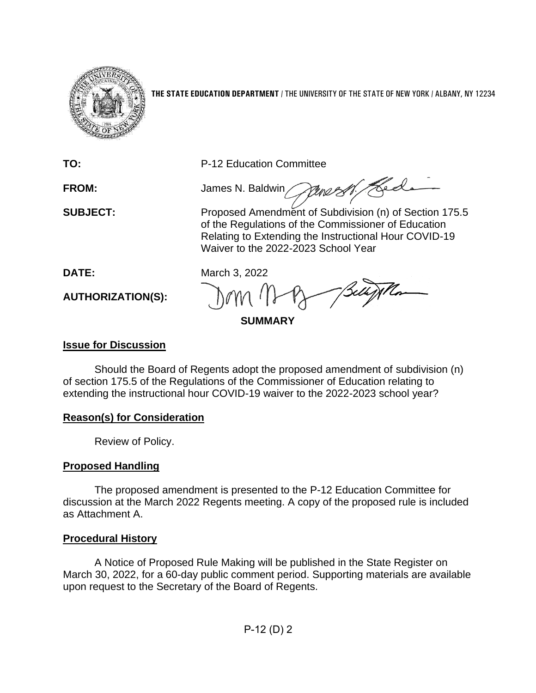

**THE STATE EDUCATION DEPARTMENT** / THE UNIVERSITY OF THE STATE OF NEW YORK / ALBANY, NY 12234

**TO:** P-12 Education Committee

**FROM:** James N. Baldwin

Hed Pene 2 **SUBJECT:** Proposed Amendment of Subdivision (n) of Section 175.5 of the Regulations of the Commissioner of Education Relating to Extending the Instructional Hour COVID-19 Waiver to the 2022-2023 School Year

**DATE:** March 3, 2022

**AUTHORIZATION(S):**

**SUMMARY**

## **Issue for Discussion**

Should the Board of Regents adopt the proposed amendment of subdivision (n) of section 175.5 of the Regulations of the Commissioner of Education relating to extending the instructional hour COVID-19 waiver to the 2022-2023 school year?

# **Reason(s) for Consideration**

Review of Policy.

# **Proposed Handling**

The proposed amendment is presented to the P-12 Education Committee for discussion at the March 2022 Regents meeting. A copy of the proposed rule is included as Attachment A.

# **Procedural History**

A Notice of Proposed Rule Making will be published in the State Register on March 30, 2022, for a 60-day public comment period. Supporting materials are available upon request to the Secretary of the Board of Regents.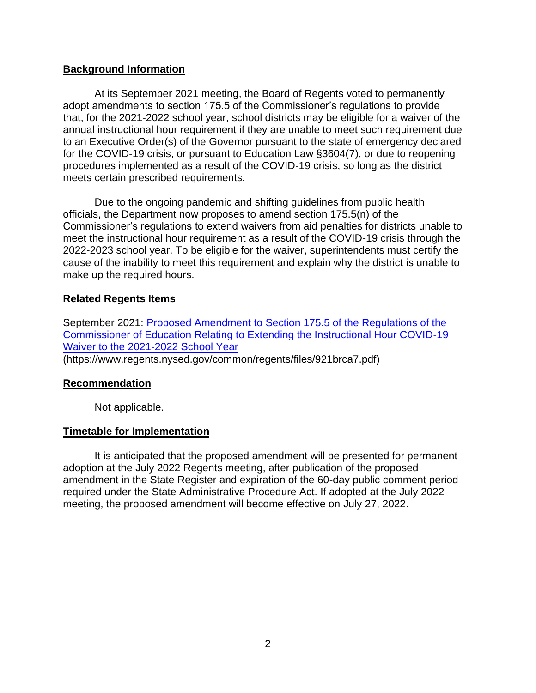#### **Background Information**

At its September 2021 meeting, the Board of Regents voted to permanently adopt amendments to section 175.5 of the Commissioner's regulations to provide that, for the 2021-2022 school year, school districts may be eligible for a waiver of the annual instructional hour requirement if they are unable to meet such requirement due to an Executive Order(s) of the Governor pursuant to the state of emergency declared for the COVID-19 crisis, or pursuant to Education Law §3604(7), or due to reopening procedures implemented as a result of the COVID-19 crisis, so long as the district meets certain prescribed requirements.

Due to the ongoing pandemic and shifting guidelines from public health officials, the Department now proposes to amend section 175.5(n) of the Commissioner's regulations to extend waivers from aid penalties for districts unable to meet the instructional hour requirement as a result of the COVID-19 crisis through the 2022-2023 school year. To be eligible for the waiver, superintendents must certify the cause of the inability to meet this requirement and explain why the district is unable to make up the required hours.

#### **Related Regents Items**

September 2021: [Proposed Amendment to Section 175.5 of the Regulations of the](https://www.regents.nysed.gov/common/regents/files/921brca7.pdf)  [Commissioner of Education Relating to Extending the Instructional Hour COVID-19](https://www.regents.nysed.gov/common/regents/files/921brca7.pdf)  [Waiver to the 2021-2022 School Year](https://www.regents.nysed.gov/common/regents/files/921brca7.pdf) (https://www.regents.nysed.gov/common/regents/files/921brca7.pdf)

#### **Recommendation**

Not applicable.

### **Timetable for Implementation**

It is anticipated that the proposed amendment will be presented for permanent adoption at the July 2022 Regents meeting, after publication of the proposed amendment in the State Register and expiration of the 60-day public comment period required under the State Administrative Procedure Act. If adopted at the July 2022 meeting, the proposed amendment will become effective on July 27, 2022.